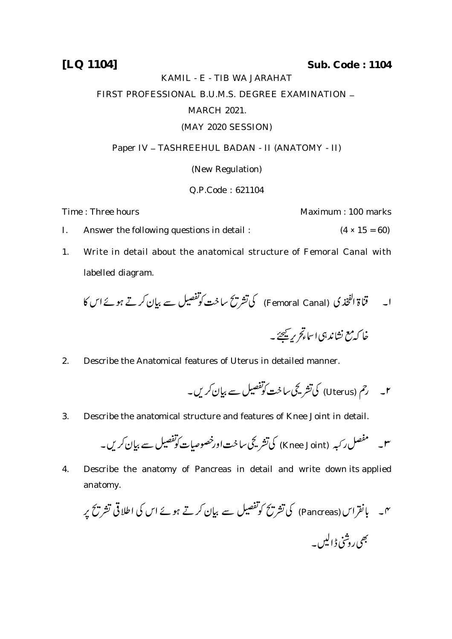**[LQ 1104] Sub. Code : 1104**

#### KAMIL - E - TIB WA JARAHAT

## FIRST PROFESSIONAL B.U.M.S. DEGREE EXAMINATION -

### MARCH 2021.

### (MAY 2020 SESSION)

### Paper IV - TASHREEHUL BADAN - II (ANATOMY - II)

(New Regulation)

# Q.P.Code : 621104

Time : Three hours **Maximum** : 100 marks

- I. Answer the following questions in detail :  $(4 \times 15 = 60)$
- 1. Write in detail about the anatomical structure of Femoral Canal with labelled diagram.

 (Femoral Canal) 

2. Describe the Anatomical features of Uterus in detailed manner.

(Uterus)

3. Describe the anatomical structure and features of Knee Joint in detail.

$$
- \frac{\sqrt{2}}{2} \mathcal{L} \sum_{i=1}^N \mathcal{L} \left( \mathcal{L} \right)
$$

4. Describe the anatomy of Pancreas in detail and write down its applied anatomy.

 (Pancreas)